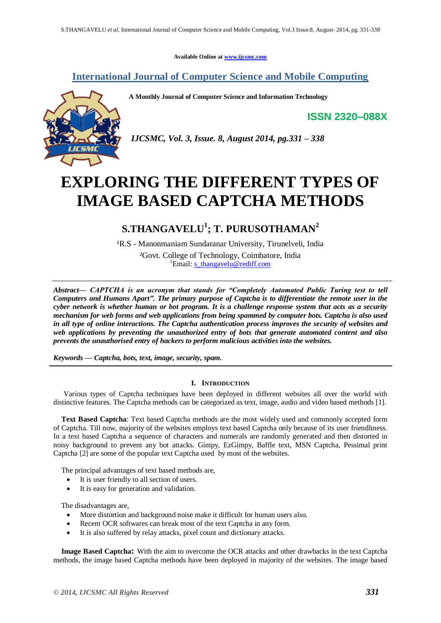**Available Online at [www.ijcsmc.com](http://www.ijcsmc.com/)**

### **International Journal of Computer Science and Mobile Computing**

**A Monthly Journal of Computer Science and Information Technology**

**ISSN 2320–088X**



*IJCSMC, Vol. 3, Issue. 8, August 2014, pg.331 – 338*

# **EXPLORING THE DIFFERENT TYPES OF IMAGE BASED CAPTCHA METHODS**

### **S.THANGAVELU<sup>1</sup> ; T. PURUSOTHAMAN<sup>2</sup>**

<sup>1</sup>R.S - Manonmaniam Sundaranar University, Tirunelveli, India ²Govt. College of Technology, Coimbatore, India <sup>1</sup>Email: [s\\_thangavelu@rediff.com](mailto:s_thangavelu@rediff.com)

*Abstract— CAPTCHA is an acronym that stands for ―Completely Automated Public Turing test to tell Computers and Humans Apart‖. The primary purpose of Captcha is to differentiate the remote user in the cyber network is whether human or bot program. It is a challenge response system that acts as a security mechanism for web forms and web applications from being spammed by computer bots. Captcha is also used in all type of online interactions. The Captcha authentication process improves the security of websites and web applications by preventing the unauthorized entry of bots that generate automated content and also prevents the unauthorised entry of hackers to perform malicious activities into the websites.*

*Keywords — Captcha, bots, text, image, security, spam.*

#### **I. INTRODUCTION**

Various types of Captcha techniques have been deployed in different websites all over the world with distinctive features. The Captcha methods can be categorized as text, image, audio and video based methods [1].

**Text Based Captcha**: Text based Captcha methods are the most widely used and commonly accepted form of Captcha. Till now, majority of the websites employs text based Captcha only because of its user friendliness. In a text based Captcha a sequence of characters and numerals are randomly generated and then distorted in noisy background to prevent any bot attacks. Gimpy, EzGimpy, Baffle text, MSN Captcha, Pessimal print Captcha [2] are some of the popular text Captcha used by most of the websites.

The principal advantages of text based methods are,

- It is user friendly to all section of users.
- It is easy for generation and validation.

The disadvantages are,

- More distortion and background noise make it difficult for human users also.
- Recent OCR softwares can break most of the text Captcha in any form.
- It is also suffered by relay attacks, pixel count and dictionary attacks.

**Image Based Captcha:** With the aim to overcome the OCR attacks and other drawbacks in the text Captcha methods, the image based Captcha methods have been deployed in majority of the websites. The image based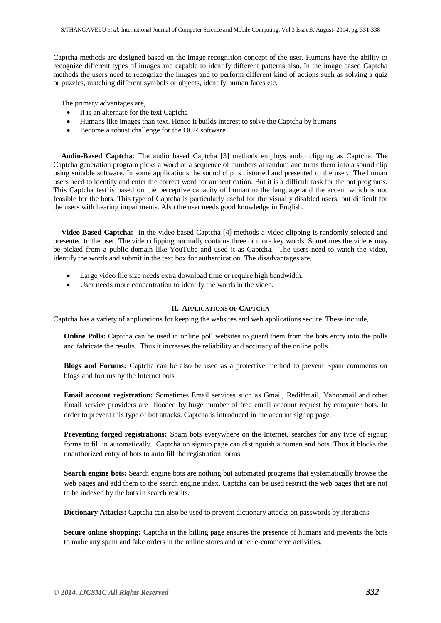Captcha methods are designed based on the image recognition concept of the user. Humans have the ability to recognize different types of images and capable to identify different patterns also. In the image based Captcha methods the users need to recognize the images and to perform different kind of actions such as solving a quiz or puzzles, matching different symbols or objects, identify human faces etc.

The primary advantages are,

- It is an alternate for the text Captcha
- Humans like images than text. Hence it builds interest to solve the Captcha by humans
- Become a robust challenge for the OCR software

**Audio-Based Captcha**: The audio based Captcha [3] methods employs audio clipping as Captcha. The Captcha generation program picks a word or a sequence of numbers at random and turns them into a sound clip using suitable software. In some applications the sound clip is distorted and presented to the user. The human users need to identify and enter the correct word for authentication. But it is a difficult task for the bot programs. This Captcha test is based on the perceptive capacity of human to the language and the accent which is not feasible for the bots. This type of Captcha is particularly useful for the visually disabled users, but difficult for the users with hearing impairments. Also the user needs good knowledge in English.

**Video Based Captcha:** In the video based Captcha [4] methods a video clipping is randomly selected and presented to the user. The video clipping normally contains three or more key words. Sometimes the videos may be picked from a public domain like YouTube and used it as Captcha. The users need to watch the video, identify the words and submit in the text box for authentication. The disadvantages are,

- Large video file size needs extra download time or require high bandwidth.
- User needs more concentration to identify the words in the video.

#### **II. APPLICATIONS OF CAPTCHA**

Captcha has a variety of applications for keeping the websites and web applications secure. These include,

**Online Polls:** Captcha can be used in online poll websites to guard them from the bots entry into the polls and fabricate the results. Thus it increases the reliability and accuracy of the online polls.

**Blogs and Forums:** Captcha can be also be used as a protective method to prevent Spam comments on blogs and forums by the Internet bots

**Email account registration:** Sometimes Email services such as Gmail, Rediffmail, Yahoomail and other Email service providers are flooded by huge number of free email account request by computer bots. In order to prevent this type of bot attacks, Captcha is introduced in the account signup page.

**Preventing forged registrations:** Spam bots everywhere on the Internet, searches for any type of signup forms to fill in automatically. Captcha on signup page can distinguish a human and bots. Thus it blocks the unauthorized entry of bots to auto fill the registration forms.

**Search engine bots:** Search engine bots are nothing but automated programs that systematically browse the web pages and add them to the search engine index. Captcha can be used restrict the web pages that are not to be indexed by the bots in search results.

**Dictionary Attacks:** Captcha can also be used to prevent dictionary attacks on passwords by iterations.

**Secure online shopping:** Captcha in the billing page ensures the presence of humans and prevents the bots to make any spam and fake orders in the online stores and other e-commerce activities.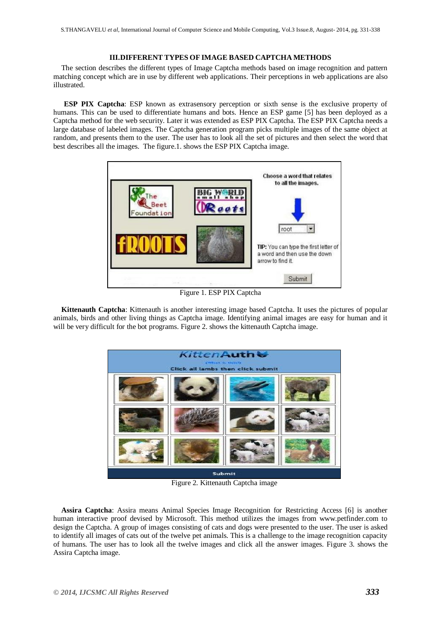#### **III.DIFFERENT TYPES OF IMAGE BASED CAPTCHA METHODS**

The section describes the different types of Image Captcha methods based on image recognition and pattern matching concept which are in use by different web applications. Their perceptions in web applications are also illustrated.

**ESP PIX Captcha**: ESP known as extrasensory perception or sixth sense is the exclusive property of humans. This can be used to differentiate humans and bots. Hence an ESP game [5] has been deployed as a Captcha method for the web security. Later it was extended as ESP PIX Captcha. The ESP PIX Captcha needs a large database of labeled images. The Captcha generation program picks multiple images of the same object at random, and presents them to the user. The user has to look all the set of pictures and then select the word that best describes all the images. The figure.1. shows the ESP PIX Captcha image.



Figure 1. ESP PIX Captcha

**Kittenauth Captcha**: Kittenauth is another interesting image based Captcha. It uses the pictures of popular animals, birds and other living things as Captcha image. Identifying animal images are easy for human and it will be very difficult for the bot programs. Figure 2. shows the kittenauth Captcha image.



Figure 2. Kittenauth Captcha image

**Assira Captcha**: Assira means Animal Species Image Recognition for Restricting Access [6] is another human interactive proof devised by Microsoft. This method utilizes the images from www.petfinder.com to design the Captcha. A group of images consisting of cats and dogs were presented to the user. The user is asked to identify all images of cats out of the twelve pet animals. This is a challenge to the image recognition capacity of humans. The user has to look all the twelve images and click all the answer images. Figure 3. shows the Assira Captcha image.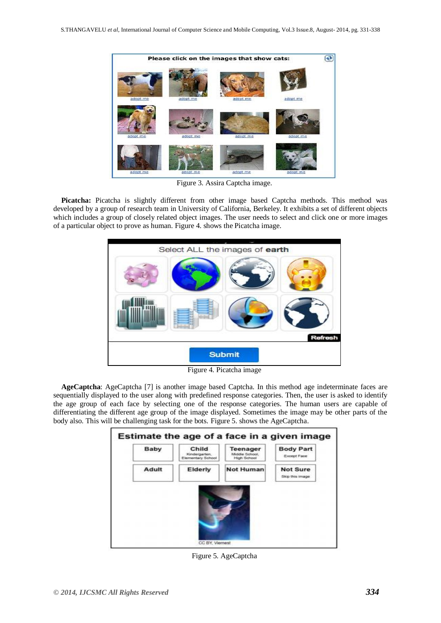

Figure 3. Assira Captcha image.

**Picatcha:** Picatcha is slightly different from other image based Captcha methods. This method was developed by a group of research team in University of California, Berkeley. It exhibits a set of different objects which includes a group of closely related object images. The user needs to select and click one or more images of a particular object to prove as human. Figure 4. shows the Picatcha image.



Figure 4. Picatcha image

**AgeCaptcha**: AgeCaptcha [7] is another image based Captcha. In this method age indeterminate faces are sequentially displayed to the user along with predefined response categories. Then, the user is asked to identify the age group of each face by selecting one of the response categories. The human users are capable of differentiating the different age group of the image displayed. Sometimes the image may be other parts of the body also. This will be challenging task for the bots. Figure 5. shows the AgeCaptcha.



Figure 5. AgeCaptcha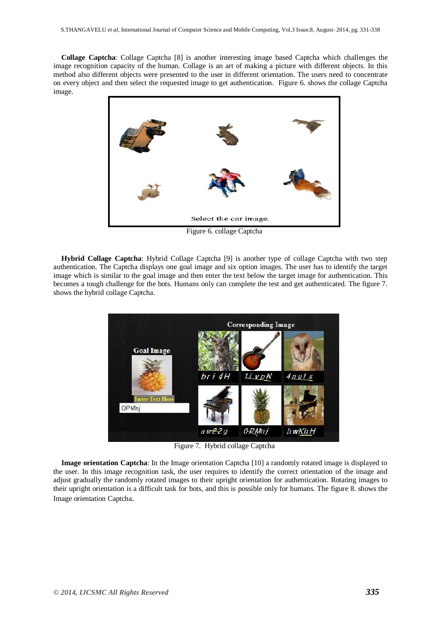**Collage Captcha**: Collage Captcha [8] is another interesting image based Captcha which challenges the image recognition capacity of the human. Collage is an art of making a picture with different objects. In this method also different objects were presented to the user in different orientation. The users need to concentrate on every object and then select the requested image to get authentication. Figure 6. shows the collage Captcha image.



Figure 6. collage Captcha

**Hybrid Collage Captcha**: Hybrid Collage Captcha [9] is another type of collage Captcha with two step authentication. The Captcha displays one goal image and six option images. The user has to identify the target image which is similar to the goal image and then enter the text below the target image for authentication. This becomes a tough challenge for the bots. Humans only can complete the test and get authenticated. The figure 7. shows the hybrid collage Captcha.



Figure 7. Hybrid collage Captcha

**Image orientation Captcha**: In the Image orientation Captcha [10] a randomly rotated image is displayed to the user. In this image recognition task, the user requires to identify the correct orientation of the image and adjust gradually the randomly rotated images to their upright orientation for authentication. Rotating images to their upright orientation is a difficult task for bots, and this is possible only for humans. The figure 8. shows the Image orientation Captcha.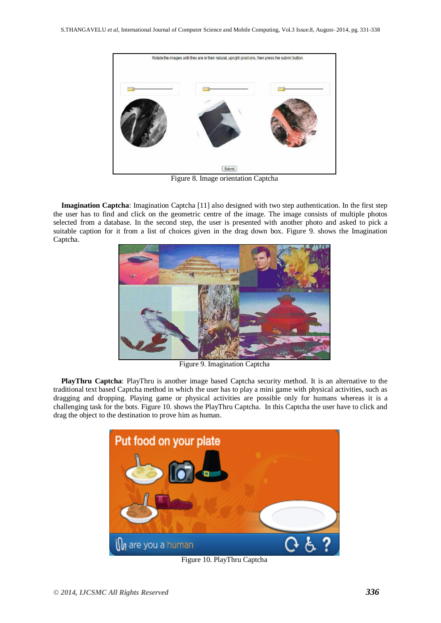

Figure 8. Image orientation Captcha

**Imagination Captcha**: Imagination Captcha [11] also designed with two step authentication. In the first step the user has to find and click on the geometric centre of the image. The image consists of multiple photos selected from a database. In the second step, the user is presented with another photo and asked to pick a suitable caption for it from a list of choices given in the drag down box. Figure 9. shows the Imagination Captcha.



Figure 9. Imagination Captcha

**PlayThru Captcha**: PlayThru is another image based Captcha security method. It is an alternative to the traditional text based Captcha method in which the user has to play a mini game with physical activities, such as dragging and dropping. Playing game or physical activities are possible only for humans whereas it is a challenging task for the bots. Figure 10. shows the PlayThru Captcha. In this Captcha the user have to click and drag the object to the destination to prove him as human.



Figure 10. PlayThru Captcha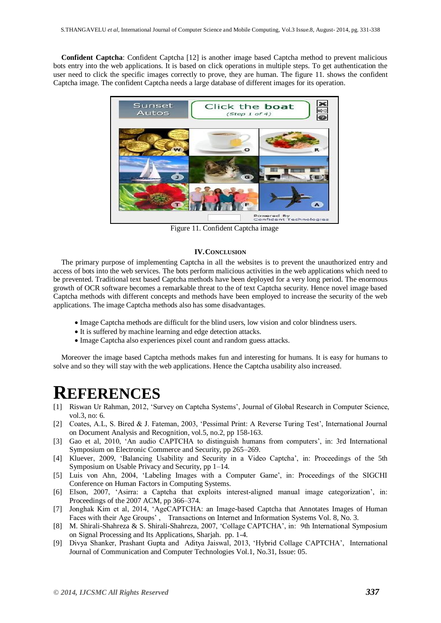**Confident Captcha**: Confident Captcha [12] is another image based Captcha method to prevent malicious bots entry into the web applications. It is based on click operations in multiple steps. To get authentication the user need to click the specific images correctly to prove, they are human. The figure 11. shows the confident Captcha image. The confident Captcha needs a large database of different images for its operation.



Figure 11. Confident Captcha image

#### **IV.CONCLUSION**

The primary purpose of implementing Captcha in all the websites is to prevent the unauthorized entry and access of bots into the web services. The bots perform malicious activities in the web applications which need to be prevented. Traditional text based Captcha methods have been deployed for a very long period. The enormous growth of OCR software becomes a remarkable threat to the of text Captcha security. Hence novel image based Captcha methods with different concepts and methods have been employed to increase the security of the web applications. The image Captcha methods also has some disadvantages.

- Image Captcha methods are difficult for the blind users, low vision and color blindness users.
- It is suffered by machine learning and edge detection attacks.
- Image Captcha also experiences pixel count and random guess attacks.

Moreover the image based Captcha methods makes fun and interesting for humans. It is easy for humans to solve and so they will stay with the web applications. Hence the Captcha usability also increased.

## **REFERENCES**

- [1] Riswan Ur Rahman, 2012, 'Survey on Captcha Systems', Journal of Global Research in Computer Science, vol.3, no: 6.
- [2] Coates, A.L, S. Bired & J. Fateman, 2003, 'Pessimal Print: A Reverse Turing Test', International Journal on Document Analysis and Recognition, vol.5, no.2, pp 158-163.
- [3] Gao et al, 2010, 'An audio CAPTCHA to distinguish humans from computers', in: 3rd International Symposium on Electronic Commerce and Security, pp 265–269.
- [4] Kluever, 2009, 'Balancing Usability and Security in a Video Captcha', in: Proceedings of the 5th Symposium on Usable Privacy and Security, pp 1–14.
- [5] Luis von Ahn, 2004, 'Labeling Images with a Computer Game', in: Proceedings of the SIGCHI Conference on Human Factors in Computing Systems.
- [6] Elson, 2007, 'Asirra: a Captcha that exploits interest-aligned manual image categorization', in: Proceedings of the 2007 ACM, pp 366–374.
- [7] Jonghak Kim et al, 2014, 'AgeCAPTCHA: an Image-based Captcha that Annotates Images of Human Faces with their Age Groups' , Transactions on Internet and Information Systems Vol. 8, No. 3.
- [8] M. Shirali-Shahreza & S. Shirali-Shahreza, 2007, 'Collage CAPTCHA', in: 9th International Symposium on Signal Processing and Its Applications, Sharjah. pp. 1-4.
- [9] Divya Shanker, Prashant Gupta and Aditya Jaiswal, 2013, 'Hybrid Collage CAPTCHA', International Journal of Communication and Computer Technologies Vol.1, No.31, Issue: 05.